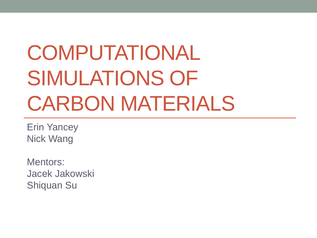## COMPUTATIONAL SIMULATIONS OF CARBON MATERIALS

Erin Yancey Nick Wang

Mentors: Jacek Jakowski Shiquan Su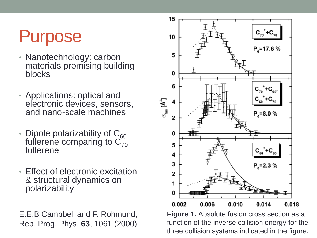## Purpose

- Nanotechnology: carbon materials promising building blocks
- Applications: optical and electronic devices, sensors, and nano-scale machines
- Dipole polarizability of  $C_{60}$  fullerene comparing to  $C_{70}$  fullerene
- Effect of electronic excitation & structural dynamics on polarizability

E.E.B Campbell and F. Rohmund, Rep. Prog. Phys. **63**, 1061 (2000).



**Figure 1.** Absolute fusion cross section as a function of the inverse collision energy for the three collision systems indicated in the figure.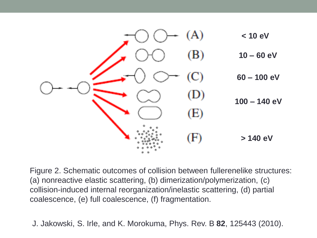

Figure 2. Schematic outcomes of collision between fullerenelike structures: (a) nonreactive elastic scattering, (b) dimerization/polymerization, (c) collision-induced internal reorganization/inelastic scattering, (d) partial coalescence, (e) full coalescence, (f) fragmentation.

J. Jakowski, S. Irle, and K. Morokuma, Phys. Rev. B **82**, 125443 (2010).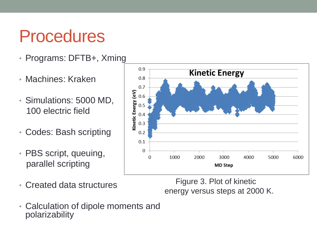## Procedures

- Programs: DFTB+, Xming
- Machines: Kraken
- Simulations: 5000 MD, 100 electric field
- Codes: Bash scripting
- PBS script, queuing, parallel scripting
- Created data structures

 Figure 3. Plot of kinetic energy versus steps at 2000 K.

• Calculation of dipole moments and polarizability